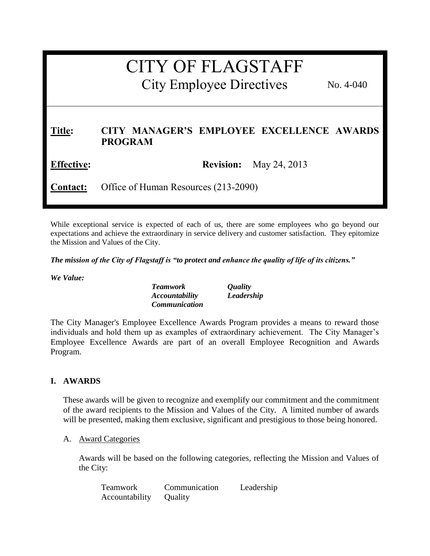# CITY OF FLAGSTAFF

City Employee Directives

No. 4-040

## **Title: CITY MANAGER'S EMPLOYEE EXCELLENCE AWARDS PROGRAM**

**Effective: Revision:** May 24, 2013

**Contact:** Office of Human Resources (213-2090)

While exceptional service is expected of each of us, there are some employees who go beyond our expectations and achieve the extraordinary in service delivery and customer satisfaction. They epitomize the Mission and Values of the City.

*The mission of the City of Flagstaff is "to protect and enhance the quality of life of its citizens."*

*We Value:*

*Teamwork Quality Accountability Leadership Communication* 

The City Manager's Employee Excellence Awards Program provides a means to reward those individuals and hold them up as examples of extraordinary achievement. The City Manager's Employee Excellence Awards are part of an overall Employee Recognition and Awards Program.

#### **I. AWARDS**

These awards will be given to recognize and exemplify our commitment and the commitment of the award recipients to the Mission and Values of the City. A limited number of awards will be presented, making them exclusive, significant and prestigious to those being honored.

#### A. Award Categories

Awards will be based on the following categories, reflecting the Mission and Values of the City:

| Teamwork       | Communication | Leadership |
|----------------|---------------|------------|
| Accountability | Quality       |            |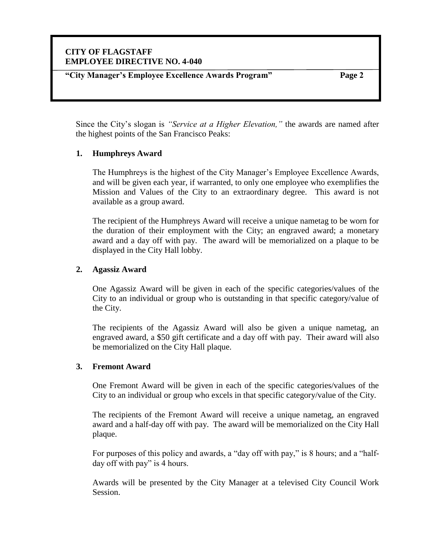## **CITY OF FLAGSTAFF EMPLOYEE DIRECTIVE NO. 4-040**

**"City Manager's Employee Excellence Awards Program" Page 2**

Since the City's slogan is *"Service at a Higher Elevation,"* the awards are named after the highest points of the San Francisco Peaks:

#### **1. Humphreys Award**

The Humphreys is the highest of the City Manager's Employee Excellence Awards, and will be given each year, if warranted, to only one employee who exemplifies the Mission and Values of the City to an extraordinary degree. This award is not available as a group award.

The recipient of the Humphreys Award will receive a unique nametag to be worn for the duration of their employment with the City; an engraved award; a monetary award and a day off with pay. The award will be memorialized on a plaque to be displayed in the City Hall lobby.

#### **2. Agassiz Award**

One Agassiz Award will be given in each of the specific categories/values of the City to an individual or group who is outstanding in that specific category/value of the City.

The recipients of the Agassiz Award will also be given a unique nametag, an engraved award, a \$50 gift certificate and a day off with pay. Their award will also be memorialized on the City Hall plaque.

#### **3. Fremont Award**

One Fremont Award will be given in each of the specific categories/values of the City to an individual or group who excels in that specific category/value of the City.

The recipients of the Fremont Award will receive a unique nametag, an engraved award and a half-day off with pay. The award will be memorialized on the City Hall plaque.

For purposes of this policy and awards, a "day off with pay," is 8 hours; and a "halfday off with pay" is 4 hours.

Awards will be presented by the City Manager at a televised City Council Work Session.